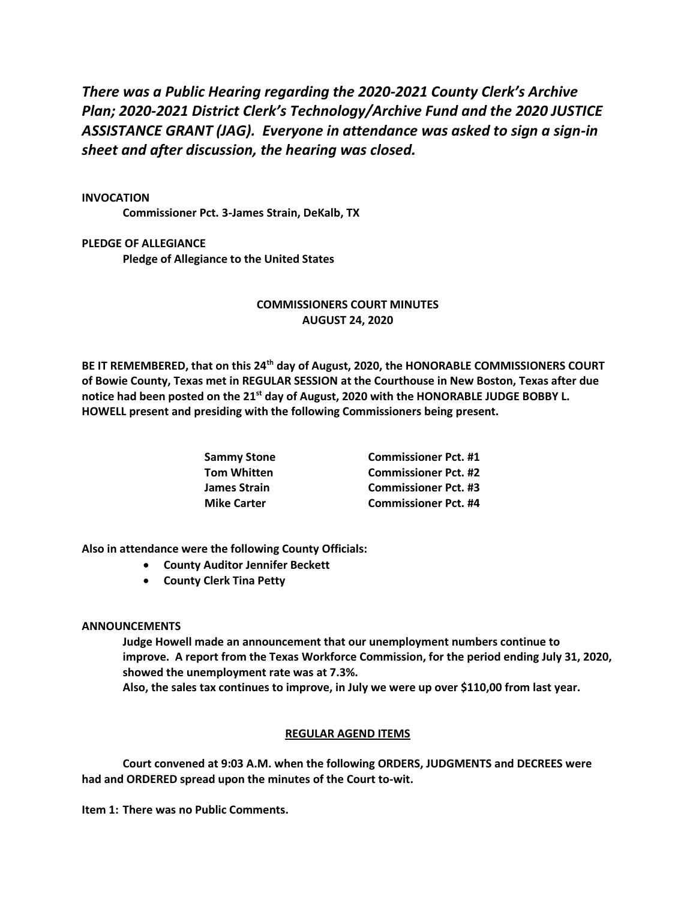*There was a Public Hearing regarding the 2020-2021 County Clerk's Archive Plan; 2020-2021 District Clerk's Technology/Archive Fund and the 2020 JUSTICE ASSISTANCE GRANT (JAG). Everyone in attendance was asked to sign a sign-in sheet and after discussion, the hearing was closed.*

## **INVOCATION**

**Commissioner Pct. 3-James Strain, DeKalb, TX**

**PLEDGE OF ALLEGIANCE Pledge of Allegiance to the United States** 

## **COMMISSIONERS COURT MINUTES AUGUST 24, 2020**

**BE IT REMEMBERED, that on this 24th day of August, 2020, the HONORABLE COMMISSIONERS COURT of Bowie County, Texas met in REGULAR SESSION at the Courthouse in New Boston, Texas after due notice had been posted on the 21st day of August, 2020 with the HONORABLE JUDGE BOBBY L. HOWELL present and presiding with the following Commissioners being present.**

| Sammy Stone        | <b>Commissioner Pct. #1</b> |
|--------------------|-----------------------------|
| Tom Whitten        | <b>Commissioner Pct. #2</b> |
| James Strain       | <b>Commissioner Pct. #3</b> |
| <b>Mike Carter</b> | <b>Commissioner Pct. #4</b> |

**Also in attendance were the following County Officials:**

- **County Auditor Jennifer Beckett**
- **County Clerk Tina Petty**

## **ANNOUNCEMENTS**

**Judge Howell made an announcement that our unemployment numbers continue to improve. A report from the Texas Workforce Commission, for the period ending July 31, 2020, showed the unemployment rate was at 7.3%. Also, the sales tax continues to improve, in July we were up over \$110,00 from last year.**

## **REGULAR AGEND ITEMS**

**Court convened at 9:03 A.M. when the following ORDERS, JUDGMENTS and DECREES were had and ORDERED spread upon the minutes of the Court to-wit.**

**Item 1: There was no Public Comments.**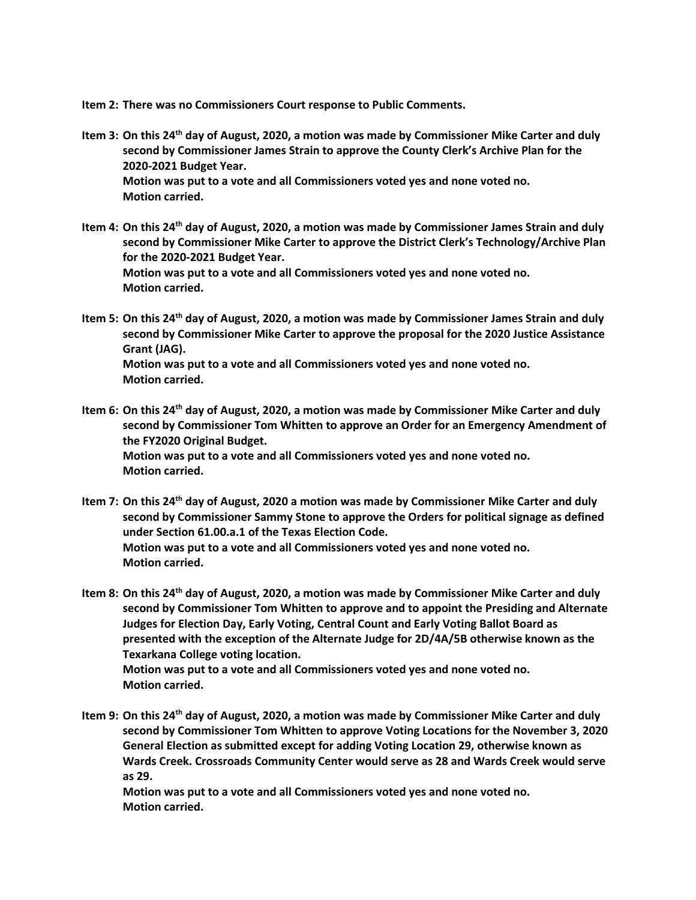**Item 2: There was no Commissioners Court response to Public Comments.**

- **Item 3: On this 24th day of August, 2020, a motion was made by Commissioner Mike Carter and duly second by Commissioner James Strain to approve the County Clerk's Archive Plan for the 2020-2021 Budget Year. Motion was put to a vote and all Commissioners voted yes and none voted no. Motion carried.**
- **Item 4: On this 24th day of August, 2020, a motion was made by Commissioner James Strain and duly second by Commissioner Mike Carter to approve the District Clerk's Technology/Archive Plan for the 2020-2021 Budget Year. Motion was put to a vote and all Commissioners voted yes and none voted no. Motion carried.**
- **Item 5: On this 24th day of August, 2020, a motion was made by Commissioner James Strain and duly second by Commissioner Mike Carter to approve the proposal for the 2020 Justice Assistance Grant (JAG). Motion was put to a vote and all Commissioners voted yes and none voted no. Motion carried.**
- **Item 6: On this 24th day of August, 2020, a motion was made by Commissioner Mike Carter and duly second by Commissioner Tom Whitten to approve an Order for an Emergency Amendment of the FY2020 Original Budget. Motion was put to a vote and all Commissioners voted yes and none voted no. Motion carried.**
- **Item 7: On this 24th day of August, 2020 a motion was made by Commissioner Mike Carter and duly second by Commissioner Sammy Stone to approve the Orders for political signage as defined under Section 61.00.a.1 of the Texas Election Code. Motion was put to a vote and all Commissioners voted yes and none voted no. Motion carried.**
- **Item 8: On this 24th day of August, 2020, a motion was made by Commissioner Mike Carter and duly second by Commissioner Tom Whitten to approve and to appoint the Presiding and Alternate Judges for Election Day, Early Voting, Central Count and Early Voting Ballot Board as presented with the exception of the Alternate Judge for 2D/4A/5B otherwise known as the Texarkana College voting location. Motion was put to a vote and all Commissioners voted yes and none voted no. Motion carried.**
- **Item 9: On this 24th day of August, 2020, a motion was made by Commissioner Mike Carter and duly second by Commissioner Tom Whitten to approve Voting Locations for the November 3, 2020 General Election as submitted except for adding Voting Location 29, otherwise known as Wards Creek. Crossroads Community Center would serve as 28 and Wards Creek would serve as 29.**

**Motion was put to a vote and all Commissioners voted yes and none voted no. Motion carried.**